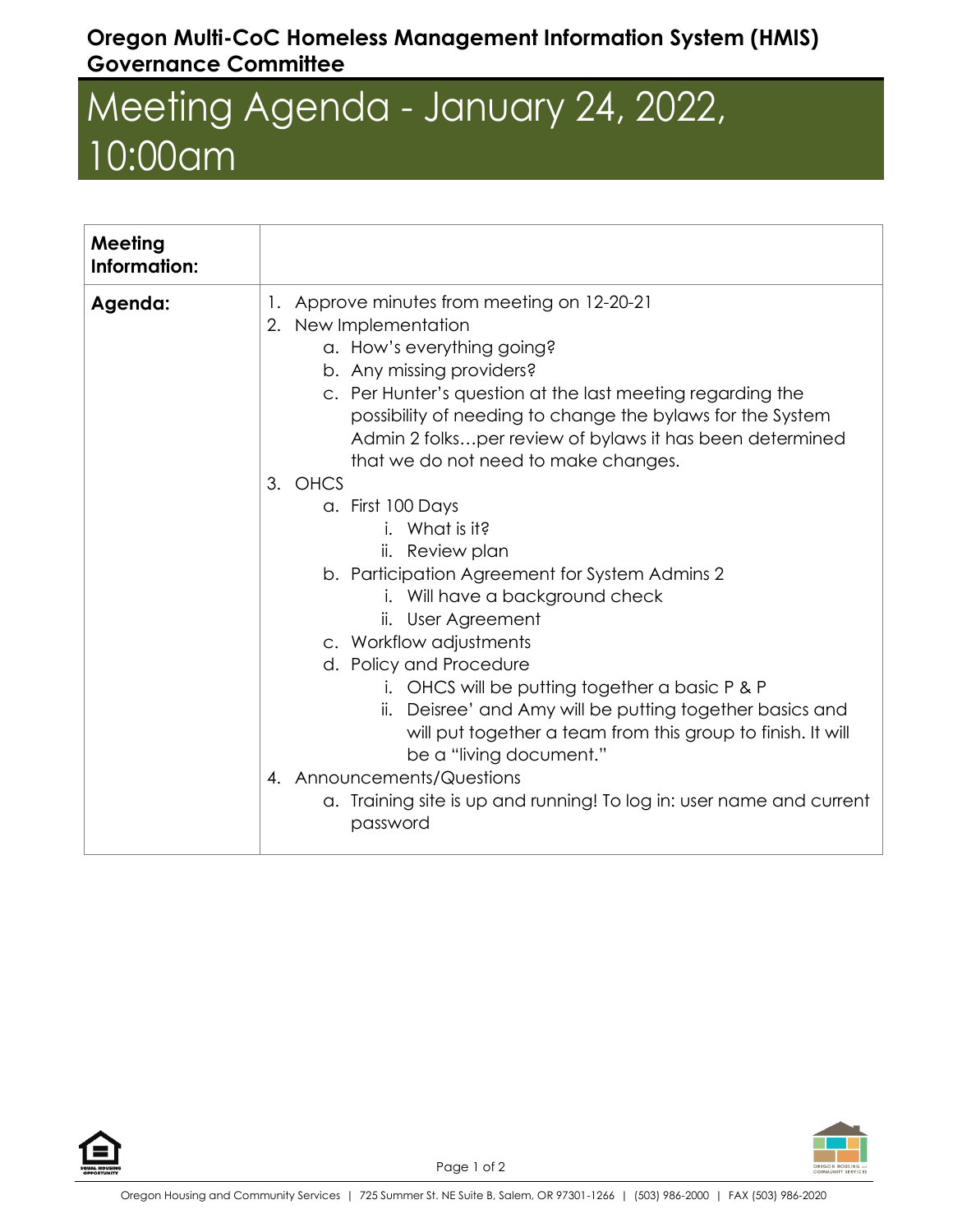## **Oregon Multi-CoC Homeless Management Information System (HMIS) Governance Committee**

## Meeting Agenda - January 24, 2022, 10:00am

| Meeting<br>Information: |                                                                                                                                                                                                                                                                                                                                                                                                                                                                                                                              |
|-------------------------|------------------------------------------------------------------------------------------------------------------------------------------------------------------------------------------------------------------------------------------------------------------------------------------------------------------------------------------------------------------------------------------------------------------------------------------------------------------------------------------------------------------------------|
| Agenda:                 | 1. Approve minutes from meeting on 12-20-21<br>2. New Implementation<br>a. How's everything going?<br>b. Any missing providers?<br>c. Per Hunter's question at the last meeting regarding the<br>possibility of needing to change the bylaws for the System<br>Admin 2 folksper review of bylaws it has been determined<br>that we do not need to make changes.<br>3. OHCS<br>a. First 100 Days                                                                                                                              |
|                         | i. What is it?<br>ii. Review plan<br>b. Participation Agreement for System Admins 2<br>i. Will have a background check<br>ii. User Agreement<br>c. Workflow adjustments<br>d. Policy and Procedure<br>i. OHCS will be putting together a basic P & P<br>ii. Deisree' and Amy will be putting together basics and<br>will put together a team from this group to finish. It will<br>be a "living document."<br>4. Announcements/Questions<br>a. Training site is up and running! To log in: user name and current<br>password |